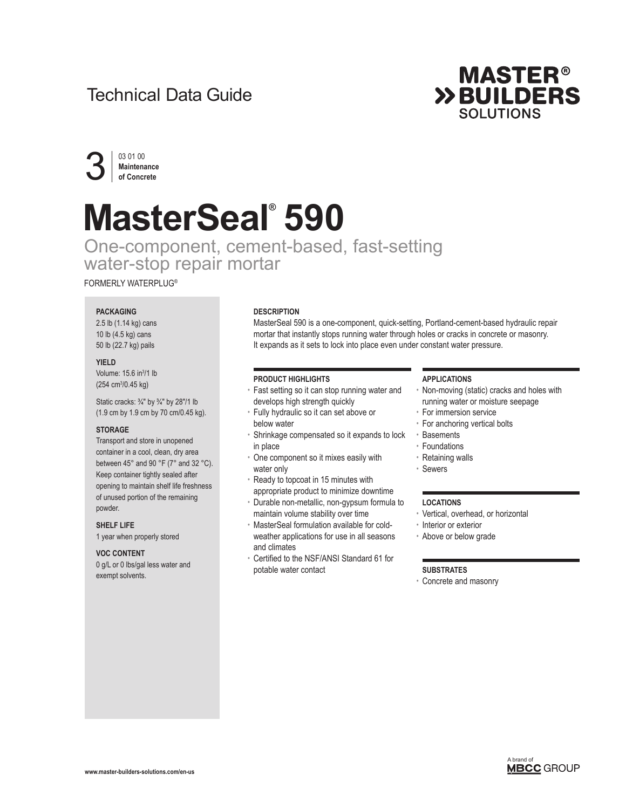## Technical Data Guide





# **MasterSeal® 590**

One-component, cement-based, fast-setting water-stop repair mortar

FORMERLY WATERPLUG®

#### **PACKAGING**

2.5 lb (1.14 kg) cans 10 lb (4.5 kg) cans 50 lb (22.7 kg) pails

#### **YIELD**

Volume: 15.6 in<sup>3</sup>/1 lb (254 cm3 /0.45 kg)

Static cracks: 3/4" by 3/4" by 28"/1 lb (1.9 cm by 1.9 cm by 70 cm/0.45 kg).

#### **STORAGE**

Transport and store in unopened container in a cool, clean, dry area between 45° and 90 °F (7° and 32 °C). Keep container tightly sealed after opening to maintain shelf life freshness of unused portion of the remaining powder.

#### **SHELF LIFE**

1 year when properly stored

#### **VOC CONTENT**

0 g/L or 0 lbs/gal less water and exempt solvents.

#### **DESCRIPTION**

MasterSeal 590 is a one-component, quick-setting, Portland-cement-based hydraulic repair mortar that instantly stops running water through holes or cracks in concrete or masonry. It expands as it sets to lock into place even under constant water pressure.

#### **PRODUCT HIGHLIGHTS**

- Fast setting so it can stop running water and develops high strength quickly
- Fully hydraulic so it can set above or below water
- Shrinkage compensated so it expands to lock in place
- One component so it mixes easily with water only
- Ready to topcoat in 15 minutes with appropriate product to minimize downtime
- Durable non-metallic, non-gypsum formula to maintain volume stability over time
- MasterSeal formulation available for coldweather applications for use in all seasons and climates
- Certified to the NSF/ANSI Standard 61 for potable water contact

#### **APPLICATIONS**

- Non-moving (static) cracks and holes with running water or moisture seepage
- For immersion service
- For anchoring vertical bolts
- Basements
- Foundations
- Retaining walls
- Sewers

#### **LOCATIONS**

- Vertical, overhead, or horizontal
- Interior or exterior
- Above or below grade

#### **SUBSTRATES**

• Concrete and masonry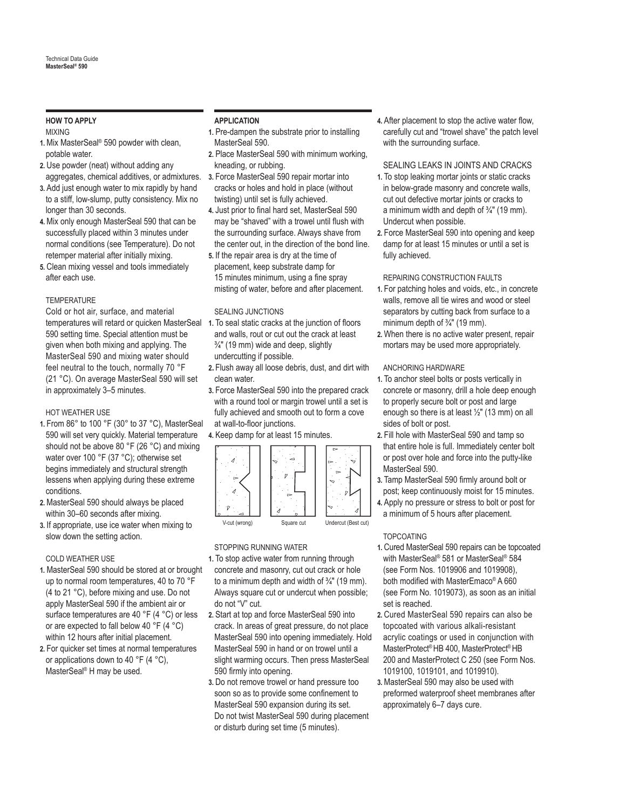### **HOW TO APPLY**

#### MIXING

- **1.** Mix MasterSeal® 590 powder with clean, potable water.
- **2.** Use powder (neat) without adding any aggregates, chemical additives, or admixtures.
- **3.** Add just enough water to mix rapidly by hand to a stiff, low-slump, putty consistency. Mix no longer than 30 seconds.
- **4.** Mix only enough MasterSeal 590 that can be successfully placed within 3 minutes under normal conditions (see Temperature). Do not retemper material after initially mixing.
- **5.** Clean mixing vessel and tools immediately after each use.

#### **TEMPERATURE**

Cold or hot air, surface, and material temperatures will retard or quicken MasterSeal 590 setting time. Special attention must be given when both mixing and applying. The MasterSeal 590 and mixing water should feel neutral to the touch, normally 70 °F (21 °C). On average MasterSeal 590 will set in approximately 3–5 minutes.

#### HOT WEATHER USE

- **1.** From 86° to 100 °F (30° to 37 °C), MasterSeal 590 will set very quickly. Material temperature should not be above 80 °F (26 °C) and mixing water over 100 °F (37 °C); otherwise set begins immediately and structural strength lessens when applying during these extreme conditions.
- **2.** MasterSeal 590 should always be placed within 30–60 seconds after mixing.
- **3.** If appropriate, use ice water when mixing to slow down the setting action.

#### COLD WEATHER USE

- **1.** MasterSeal 590 should be stored at or brought up to normal room temperatures, 40 to 70 °F (4 to 21 °C), before mixing and use. Do not apply MasterSeal 590 if the ambient air or surface temperatures are 40 °F (4 °C) or less or are expected to fall below 40 °F (4 °C) within 12 hours after initial placement.
- **2.** For quicker set times at normal temperatures or applications down to 40 °F (4 °C), MasterSeal® H may be used.

#### **APPLICATION**

- **1.** Pre-dampen the substrate prior to installing MasterSeal 590.
- **2.** Place MasterSeal 590 with minimum working, kneading, or rubbing.
- **3.** Force MasterSeal 590 repair mortar into cracks or holes and hold in place (without twisting) until set is fully achieved.
- **4.** Just prior to final hard set, MasterSeal 590 may be "shaved" with a trowel until flush with the surrounding surface. Always shave from the center out, in the direction of the bond line. **5.** If the repair area is dry at the time of
- placement, keep substrate damp for 15 minutes minimum, using a fine spray misting of water, before and after placement.

#### SEALING JUNCTIONS

- **1.** To seal static cracks at the junction of floors and walls, rout or cut out the crack at least  $\frac{3}{4}$ " (19 mm) wide and deep, slightly undercutting if possible.
- **2.** Flush away all loose debris, dust, and dirt with clean water.
- **3.** Force MasterSeal 590 into the prepared crack with a round tool or margin trowel until a set is fully achieved and smooth out to form a cove at wall-to-floor junctions.

#### **4.** Keep damp for at least 15 minutes.



#### STOPPING RUNNING WATER

- **1.** To stop active water from running through concrete and masonry, cut out crack or hole to a minimum depth and width of  $\frac{3}{4}$ " (19 mm). Always square cut or undercut when possible; do not "V" cut.
- **2.** Start at top and force MasterSeal 590 into crack. In areas of great pressure, do not place MasterSeal 590 into opening immediately. Hold MasterSeal 590 in hand or on trowel until a slight warming occurs. Then press MasterSeal 590 firmly into opening.
- **3.** Do not remove trowel or hand pressure too soon so as to provide some confinement to MasterSeal 590 expansion during its set. Do not twist MasterSeal 590 during placement or disturb during set time (5 minutes).

**4.** After placement to stop the active water flow, carefully cut and "trowel shave" the patch level with the surrounding surface.

#### SEALING LEAKS IN JOINTS AND CRACKS

- **1.** To stop leaking mortar joints or static cracks in below-grade masonry and concrete walls, cut out defective mortar joints or cracks to a minimum width and depth of  $\frac{3}{4}$ " (19 mm). Undercut when possible.
- **2.** Force MasterSeal 590 into opening and keep damp for at least 15 minutes or until a set is fully achieved.

#### REPAIRING CONSTRUCTION FAULTS

- **1.** For patching holes and voids, etc., in concrete walls, remove all tie wires and wood or steel separators by cutting back from surface to a minimum depth of ¾" (19 mm).
- **2.** When there is no active water present, repair mortars may be used more appropriately.

#### ANCHORING HARDWARE

- **1.** To anchor steel bolts or posts vertically in concrete or masonry, drill a hole deep enough to properly secure bolt or post and large enough so there is at least ½" (13 mm) on all sides of bolt or post.
- **2.** Fill hole with MasterSeal 590 and tamp so that entire hole is full. Immediately center bolt or post over hole and force into the putty-like MasterSeal 590.
- **3.** Tamp MasterSeal 590 firmly around bolt or post; keep continuously moist for 15 minutes.
- **4.** Apply no pressure or stress to bolt or post for a minimum of 5 hours after placement.

#### TOPCOATING

- **1.** Cured MasterSeal 590 repairs can be topcoated with MasterSeal® 581 or MasterSeal® 584 (see Form Nos. 1019906 and 1019908), both modified with MasterEmaco® A 660 (see Form No. 1019073), as soon as an initial set is reached.
- **2.** Cured MasterSeal 590 repairs can also be topcoated with various alkali-resistant acrylic coatings or used in conjunction with MasterProtect® HB 400, MasterProtect® HB 200 and MasterProtect C 250 (see Form Nos. 1019100, 1019101, and 1019910).
- **3.** MasterSeal 590 may also be used with preformed waterproof sheet membranes after approximately 6–7 days cure.